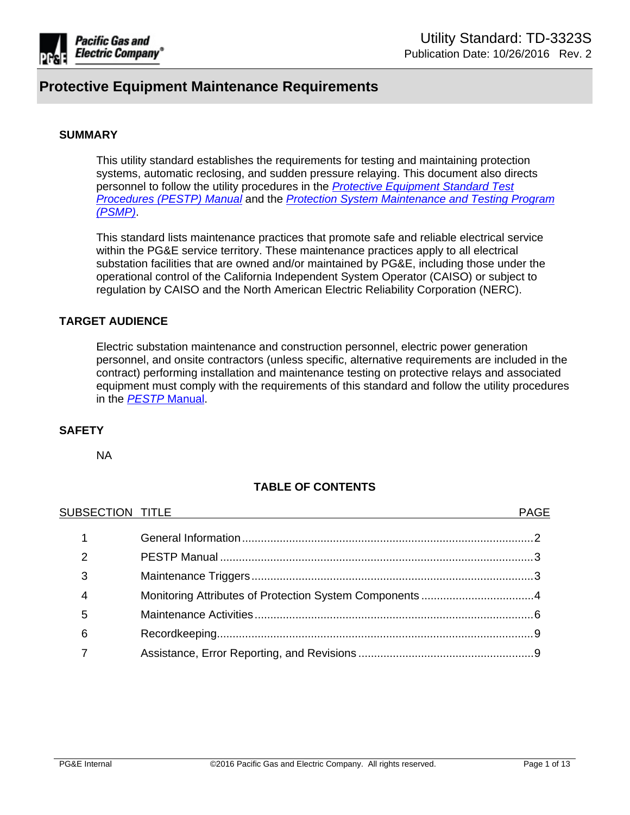

### **SUMMARY**

This utility standard establishes the requirements for testing and maintaining protection systems, automatic reclosing, and sudden pressure relaying. This document also directs personnel to follow the utility procedures in the *Protective [Equipment](http://www/techlib/default.asp?body=manuals/pestp/) Standard Test [Procedures](http://www/techlib/default.asp?body=manuals/pestp/) (PESTP) Manual* and the *Protection System [Maintenance](https://sps.utility.pge.com/sites/EOsub/test/Shared%20Documents/Forms/AllItems.aspx?RootFolder=%2Fsites%2FEOsub%2Ftest%2FShared%20Documents%2FPSMP%20Documents&FolderCTID=0x012000E164C9FAA3AD3446979138DA70EBFE8A&View=%7BE84DD2A8%2D9E59%2D496F%2D8D6A%2D281DE5E860EC%7D) and Testing Program [\(PSMP\)](https://sps.utility.pge.com/sites/EOsub/test/Shared%20Documents/Forms/AllItems.aspx?RootFolder=%2Fsites%2FEOsub%2Ftest%2FShared%20Documents%2FPSMP%20Documents&FolderCTID=0x012000E164C9FAA3AD3446979138DA70EBFE8A&View=%7BE84DD2A8%2D9E59%2D496F%2D8D6A%2D281DE5E860EC%7D)*.

This standard lists maintenance practices that promote safe and reliable electrical service within the PG&E service territory. These maintenance practices apply to all electrical substation facilities that are owned and/or maintained by PG&E, including those under the operational control of the California Independent System Operator (CAISO) or subject to regulation by CAISO and the North American Electric Reliability Corporation (NERC).

### **TARGET AUDIENCE**

Electric substation maintenance and construction personnel, electric power generation personnel, and onsite contractors (unless specific, alternative requirements are included in the contract) performing installation and maintenance testing on protective relays and associated equipment must comply with the requirements of this standard and follow the utility procedures in the *PESTP* [Manual.](http://www/techlib/default.asp?body=manuals/pestp/)

### **SAFETY**

NA

### **TABLE OF CONTENTS**

| SUBSECTION TITLE | <b>PAGE</b> |
|------------------|-------------|
|                  |             |
| $\overline{2}$   |             |
| 3                |             |
| 4                |             |
| 5                |             |
| 6                |             |
|                  |             |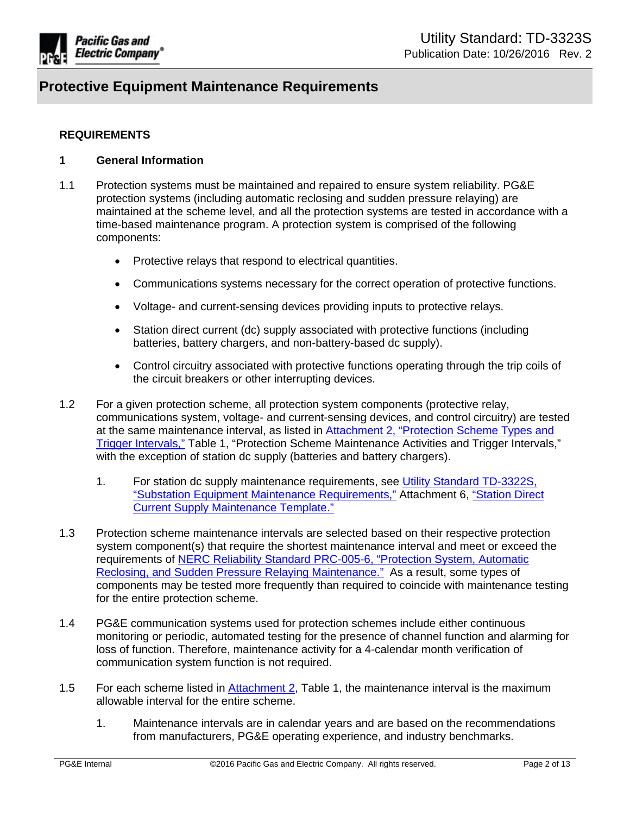

### **REQUIREMENTS**

### <span id="page-1-0"></span>**1 General Information**

- 1.1 Protection systems must be maintained and repaired to ensure system reliability. PG&E protection systems (including automatic reclosing and sudden pressure relaying) are maintained at the scheme level, and all the protection systems are tested in accordance with a time-based maintenance program. A protection system is comprised of the following components:
	- Protective relays that respond to electrical quantities.
	- Communications systems necessary for the correct operation of protective functions.
	- Voltage- and current-sensing devices providing inputs to protective relays.
	- Station direct current (dc) supply associated with protective functions (including batteries, battery chargers, and non-battery-based dc supply).
	- Control circuitry associated with protective functions operating through the trip coils of the circuit breakers or other interrupting devices.
- 1.2 For a given protection scheme, all protection system components (protective relay, communications system, voltage- and current-sensing devices, and control circuitry) are tested at the same maintenance interval, as listed in [Attachment](http://wwwedm3/cgi-bin/getdocTDM.asp?itemid=005479993) 2, "Protection Scheme Types and Trigger [Intervals,"](http://wwwedm3/cgi-bin/getdocTDM.asp?itemid=005479993) Table 1, "Protection Scheme Maintenance Activities and Trigger Intervals," with the exception of station dc supply (batteries and battery chargers).
	- 1. For station dc supply maintenance requirements, see Utility Standard [TD-3322S,](http://www/techlib/default.asp?body=manuals/uo_standards/s3322.htm) "Substation Equipment Maintenance [Requirements,"](http://www/techlib/default.asp?body=manuals/uo_standards/s3322.htm) Attachment 6, ["Station](http://wwwedm3/cgi-bin/getdocTDM.asp?itemid=004733144) Direct Current Supply [Maintenance](http://wwwedm3/cgi-bin/getdocTDM.asp?itemid=004733144) Template."
- 1.3 Protection scheme maintenance intervals are selected based on their respective protection system component(s) that require the shortest maintenance interval and meet or exceed the requirements of NERC Reliability Standard [PRC-005-6,](http://www.nerc.com/_layouts/PrintStandard.aspx?standardnumber=PRC-005-6&title=Protection%20System,%20Automatic%20Reclosing,%20and%20Sudden%20Pressure%20Relaying&jurisdiction=United%20States) "Protection System, Automatic Reclosing, and Sudden Pressure Relaying [Maintenance."](http://www.nerc.com/_layouts/PrintStandard.aspx?standardnumber=PRC-005-6&title=Protection%20System,%20Automatic%20Reclosing,%20and%20Sudden%20Pressure%20Relaying&jurisdiction=United%20States) As a result, some types of components may be tested more frequently than required to coincide with maintenance testing for the entire protection scheme.
- 1.4 PG&E communication systems used for protection schemes include either continuous monitoring or periodic, automated testing for the presence of channel function and alarming for loss of function. Therefore, maintenance activity for a 4-calendar month verification of communication system function is not required.
- 1.5 For each scheme listed in [Attachment](http://wwwedm3/cgi-bin/getdocTDM.asp?itemid=005479993) 2, Table 1, the maintenance interval is the maximum allowable interval for the entire scheme.
	- 1. Maintenance intervals are in calendar years and are based on the recommendations from manufacturers, PG&E operating experience, and industry benchmarks.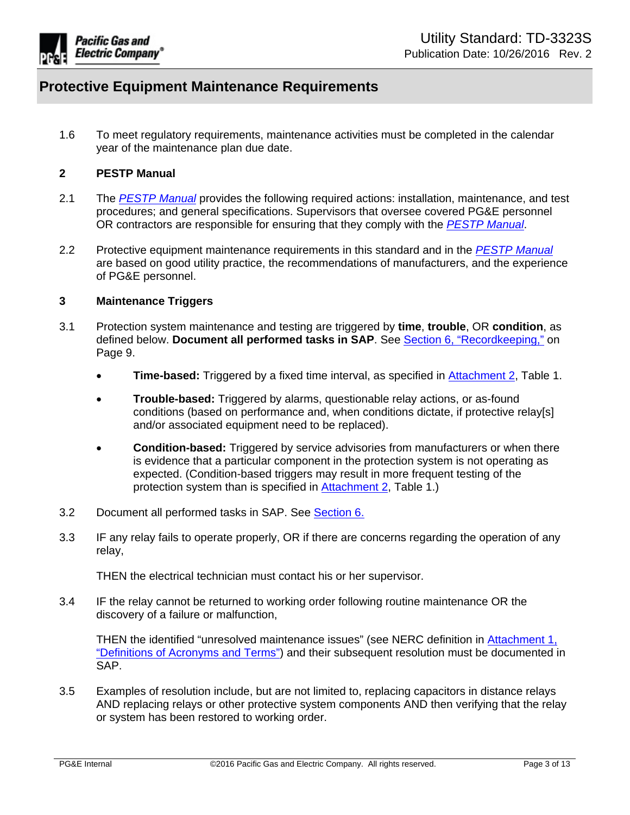

1.6 To meet regulatory requirements, maintenance activities must be completed in the calendar year of the maintenance plan due date.

### <span id="page-2-0"></span>**2 PESTP Manual**

- 2.1 The *PESTP [Manual](http://www/techlib/default.asp?body=manuals/pestp/)* provides the following required actions: installation, maintenance, and test procedures; and general specifications. Supervisors that oversee covered PG&E personnel OR contractors are responsible for ensuring that they comply with the *[PESTP](http://www/techlib/default.asp?body=manuals/pestp/) Manual*.
- 2.2 Protective equipment maintenance requirements in this standard and in the *PESTP [Manual](http://www/techlib/default.asp?body=manuals/pestp/)* are based on good utility practice, the recommendations of manufacturers, and the experience of PG&E personnel.

### <span id="page-2-1"></span>**3 Maintenance Triggers**

- 3.1 Protection system maintenance and testing are triggered by **time**, **trouble**, OR **condition**, as defined below. **Document all performed tasks in SAP**. See Section 6, ["Recordkeeping,"](#page-8-0) on Page 9.
	- **Time-based:** Triggered by a fixed time interval, as specified in [Attachment](http://wwwedm3/cgi-bin/getdocTDM.asp?itemid=005479993) 2, Table 1.
	- **Trouble-based:** Triggered by alarms, questionable relay actions, or as-found conditions (based on performance and, when conditions dictate, if protective relay[s] and/or associated equipment need to be replaced).
	- **Condition-based:** Triggered by service advisories from manufacturers or when there is evidence that a particular component in the protection system is not operating as expected. (Condition-based triggers may result in more frequent testing of the protection system than is specified in [Attachment](http://wwwedm3/cgi-bin/getdocTDM.asp?itemid=005479993) 2, Table 1.)
- 3.2 Document all performed tasks in SAP. See [Section](#page-8-0) 6.
- 3.3 IF any relay fails to operate properly, OR if there are concerns regarding the operation of any relay,

THEN the electrical technician must contact his or her supervisor.

3.4 IF the relay cannot be returned to working order following routine maintenance OR the discovery of a failure or malfunction,

THEN the identified "unresolved maintenance issues" (see NERC definition in [Attachment](http://wwwedm3/cgi-bin/getdocTDM.asp?itemid=005479992) 1, ["Definitions](http://wwwedm3/cgi-bin/getdocTDM.asp?itemid=005479992) of Acronyms and Terms") and their subsequent resolution must be documented in SAP.

3.5 Examples of resolution include, but are not limited to, replacing capacitors in distance relays AND replacing relays or other protective system components AND then verifying that the relay or system has been restored to working order.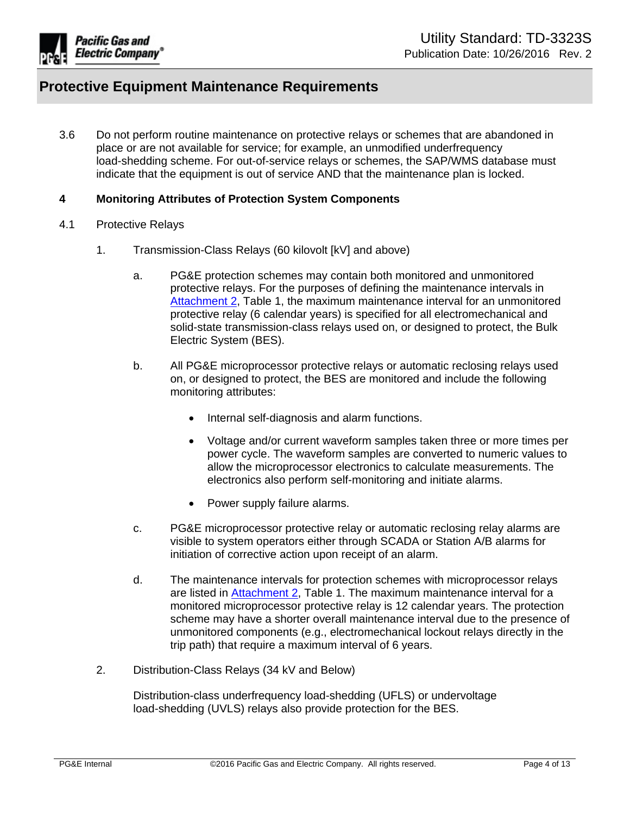

3.6 Do not perform routine maintenance on protective relays or schemes that are abandoned in place or are not available for service; for example, an unmodified underfrequency load-shedding scheme. For out-of-service relays or schemes, the SAP/WMS database must indicate that the equipment is out of service AND that the maintenance plan is locked.

### <span id="page-3-0"></span>**4 Monitoring Attributes of Protection System Components**

- 4.1 Protective Relays
	- 1. Transmission-Class Relays (60 kilovolt [kV] and above)
		- a. PG&E protection schemes may contain both monitored and unmonitored protective relays. For the purposes of defining the maintenance intervals in [Attachment](http://wwwedm3/cgi-bin/getdocTDM.asp?itemid=005479993) 2, Table 1, the maximum maintenance interval for an unmonitored protective relay (6 calendar years) is specified for all electromechanical and solid-state transmission-class relays used on, or designed to protect, the Bulk Electric System (BES).
		- b. All PG&E microprocessor protective relays or automatic reclosing relays used on, or designed to protect, the BES are monitored and include the following monitoring attributes:
			- Internal self-diagnosis and alarm functions.
			- Voltage and/or current waveform samples taken three or more times per power cycle. The waveform samples are converted to numeric values to allow the microprocessor electronics to calculate measurements. The electronics also perform self-monitoring and initiate alarms.
			- Power supply failure alarms.
		- c. PG&E microprocessor protective relay or automatic reclosing relay alarms are visible to system operators either through SCADA or Station A/B alarms for initiation of corrective action upon receipt of an alarm.
		- d. The maintenance intervals for protection schemes with microprocessor relays are listed in [Attachment](http://wwwedm3/cgi-bin/getdocTDM.asp?itemid=005479993) 2, Table 1. The maximum maintenance interval for a monitored microprocessor protective relay is 12 calendar years. The protection scheme may have a shorter overall maintenance interval due to the presence of unmonitored components (e.g., electromechanical lockout relays directly in the trip path) that require a maximum interval of 6 years.
	- 2. Distribution-Class Relays (34 kV and Below)

Distribution-class underfrequency load-shedding (UFLS) or undervoltage load-shedding (UVLS) relays also provide protection for the BES.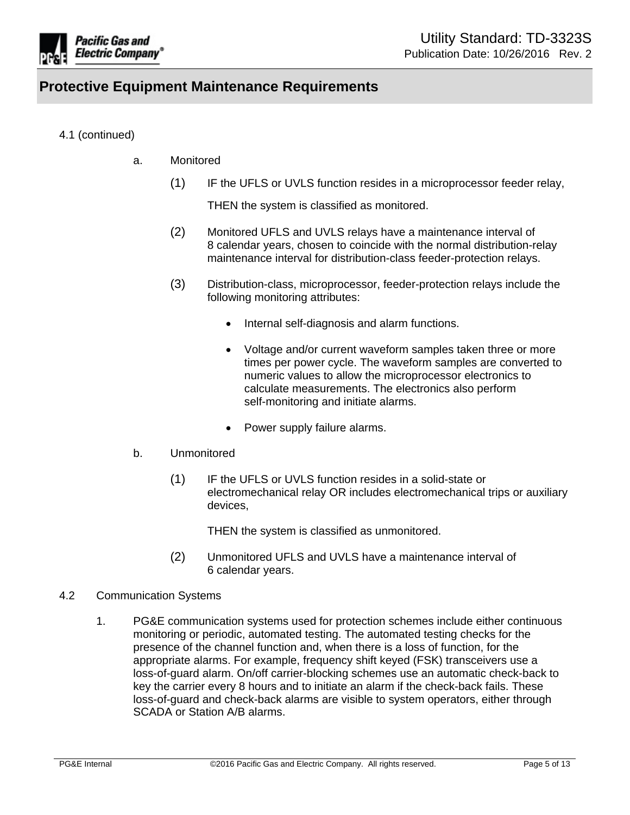

## 4.1 (continued)

- a. Monitored
	- (1) IF the UFLS or UVLS function resides in a microprocessor feeder relay,

THEN the system is classified as monitored.

- (2) Monitored UFLS and UVLS relays have a maintenance interval of 8 calendar years, chosen to coincide with the normal distribution-relay maintenance interval for distribution-class feeder-protection relays.
- (3) Distribution-class, microprocessor, feeder-protection relays include the following monitoring attributes:
	- Internal self-diagnosis and alarm functions.
	- Voltage and/or current waveform samples taken three or more times per power cycle. The waveform samples are converted to numeric values to allow the microprocessor electronics to calculate measurements. The electronics also perform self-monitoring and initiate alarms.
	- Power supply failure alarms.

### b. Unmonitored

(1) IF the UFLS or UVLS function resides in a solid-state or electromechanical relay OR includes electromechanical trips or auxiliary devices,

THEN the system is classified as unmonitored.

(2) Unmonitored UFLS and UVLS have a maintenance interval of 6 calendar years.

### 4.2 Communication Systems

1. PG&E communication systems used for protection schemes include either continuous monitoring or periodic, automated testing. The automated testing checks for the presence of the channel function and, when there is a loss of function, for the appropriate alarms. For example, frequency shift keyed (FSK) transceivers use a loss-of-guard alarm. On/off carrier-blocking schemes use an automatic check-back to key the carrier every 8 hours and to initiate an alarm if the check-back fails. These loss-of-guard and check-back alarms are visible to system operators, either through SCADA or Station A/B alarms.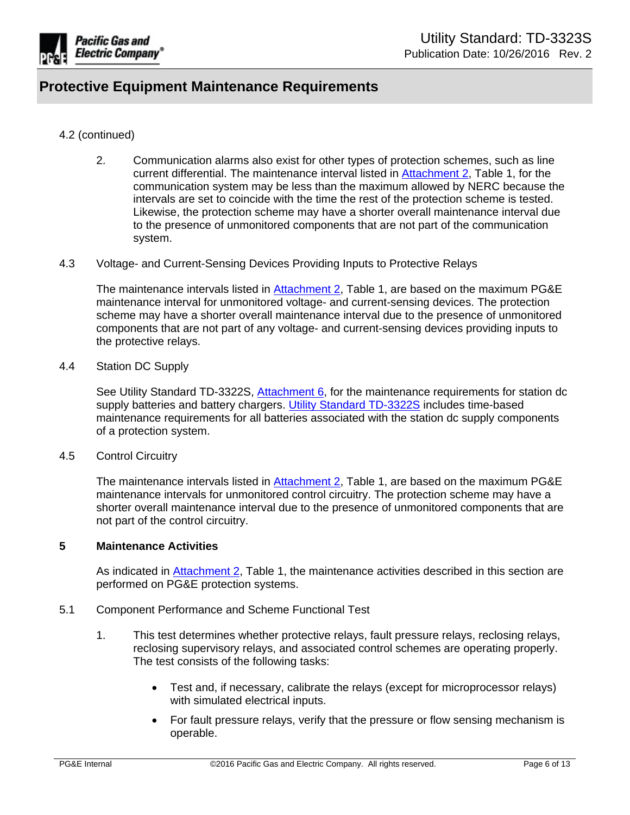

### 4.2 (continued)

- 2. Communication alarms also exist for other types of protection schemes, such as line current differential. The maintenance interval listed in [Attachment](http://wwwedm3/cgi-bin/getdocTDM.asp?itemid=005479993) 2, Table 1, for the communication system may be less than the maximum allowed by NERC because the intervals are set to coincide with the time the rest of the protection scheme is tested. Likewise, the protection scheme may have a shorter overall maintenance interval due to the presence of unmonitored components that are not part of the communication system.
- 4.3 Voltage- and Current-Sensing Devices Providing Inputs to Protective Relays

The maintenance intervals listed in **[Attachment](http://wwwedm3/cgi-bin/getdocTDM.asp?itemid=005479993) 2**, Table 1, are based on the maximum PG&E maintenance interval for unmonitored voltage- and current-sensing devices. The protection scheme may have a shorter overall maintenance interval due to the presence of unmonitored components that are not part of any voltage- and current-sensing devices providing inputs to the protective relays.

#### 4.4 Station DC Supply

See Utility Standard TD-3322S, [Attachment](http://wwwedm3/cgi-bin/getdocTDM.asp?itemid=004733144) 6, for the maintenance requirements for station dc supply batteries and battery chargers. Utility Standard [TD-3322S](http://www/techlib/default.asp?body=manuals/uo_standards/s3322.htm) includes time-based maintenance requirements for all batteries associated with the station dc supply components of a protection system.

4.5 Control Circuitry

The maintenance intervals listed in [Attachment](http://wwwedm3/cgi-bin/getdocTDM.asp?itemid=005479993) 2, Table 1, are based on the maximum PG&E maintenance intervals for unmonitored control circuitry. The protection scheme may have a shorter overall maintenance interval due to the presence of unmonitored components that are not part of the control circuitry.

#### <span id="page-5-0"></span>**5 Maintenance Activities**

As indicated in [Attachment](http://wwwedm3/cgi-bin/getdocTDM.asp?itemid=005479993) 2, Table 1, the maintenance activities described in this section are performed on PG&E protection systems.

- 5.1 Component Performance and Scheme Functional Test
	- 1. This test determines whether protective relays, fault pressure relays, reclosing relays, reclosing supervisory relays, and associated control schemes are operating properly. The test consists of the following tasks:
		- Test and, if necessary, calibrate the relays (except for microprocessor relays) with simulated electrical inputs.
		- For fault pressure relays, verify that the pressure or flow sensing mechanism is operable.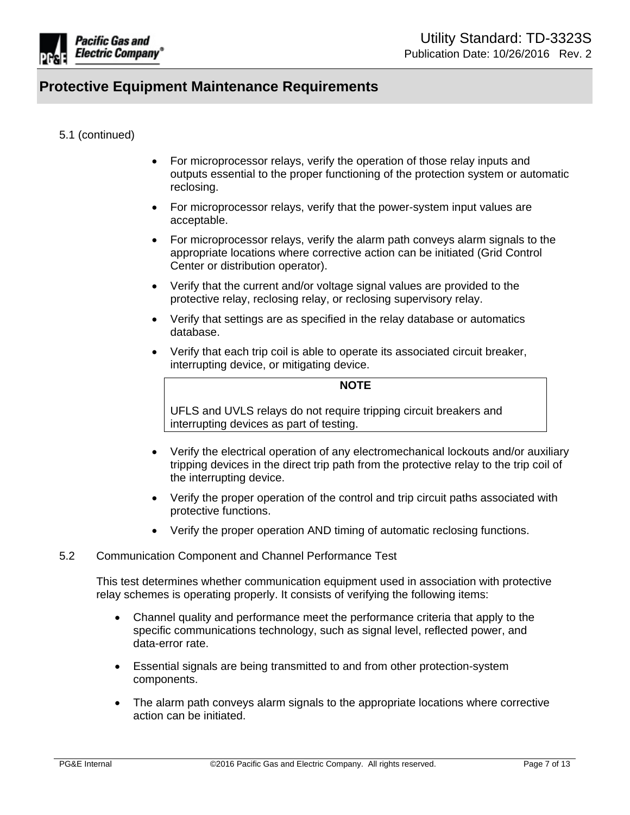

### 5.1 (continued)

- For microprocessor relays, verify the operation of those relay inputs and outputs essential to the proper functioning of the protection system or automatic reclosing.
- For microprocessor relays, verify that the power-system input values are acceptable.
- For microprocessor relays, verify the alarm path conveys alarm signals to the appropriate locations where corrective action can be initiated (Grid Control Center or distribution operator).
- Verify that the current and/or voltage signal values are provided to the protective relay, reclosing relay, or reclosing supervisory relay.
- Verify that settings are as specified in the relay database or automatics database.
- Verify that each trip coil is able to operate its associated circuit breaker, interrupting device, or mitigating device.

#### **NOTE**

UFLS and UVLS relays do not require tripping circuit breakers and interrupting devices as part of testing.

- Verify the electrical operation of any electromechanical lockouts and/or auxiliary tripping devices in the direct trip path from the protective relay to the trip coil of the interrupting device.
- Verify the proper operation of the control and trip circuit paths associated with protective functions.
- Verify the proper operation AND timing of automatic reclosing functions.

### 5.2 Communication Component and Channel Performance Test

This test determines whether communication equipment used in association with protective relay schemes is operating properly. It consists of verifying the following items:

- Channel quality and performance meet the performance criteria that apply to the specific communications technology, such as signal level, reflected power, and data-error rate.
- Essential signals are being transmitted to and from other protection-system components.
- The alarm path conveys alarm signals to the appropriate locations where corrective action can be initiated.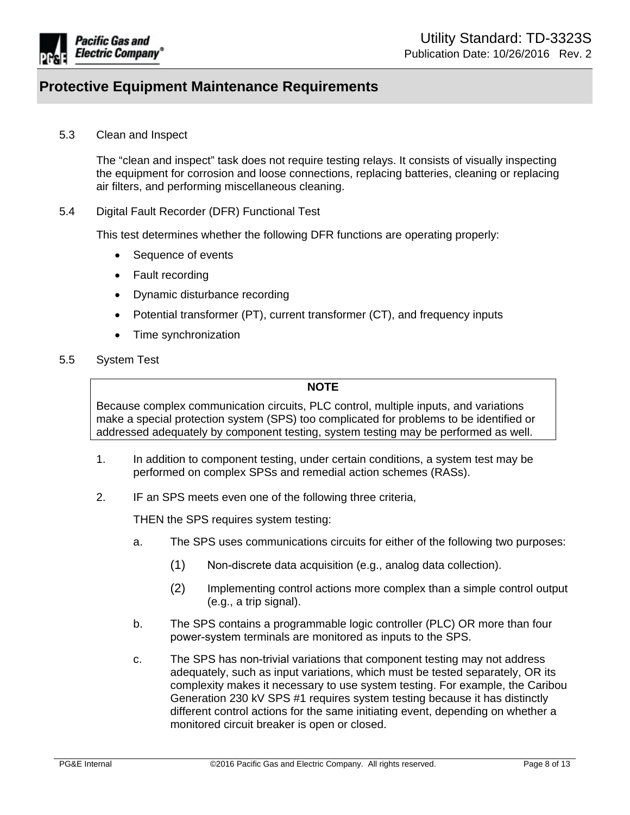

5.3 Clean and Inspect

The "clean and inspect" task does not require testing relays. It consists of visually inspecting the equipment for corrosion and loose connections, replacing batteries, cleaning or replacing air filters, and performing miscellaneous cleaning.

5.4 Digital Fault Recorder (DFR) Functional Test

This test determines whether the following DFR functions are operating properly:

- Sequence of events
- Fault recording
- Dynamic disturbance recording
- Potential transformer (PT), current transformer (CT), and frequency inputs
- Time synchronization
- 5.5 System Test

### **NOTE**

Because complex communication circuits, PLC control, multiple inputs, and variations make a special protection system (SPS) too complicated for problems to be identified or addressed adequately by component testing, system testing may be performed as well.

- 1. In addition to component testing, under certain conditions, a system test may be performed on complex SPSs and remedial action schemes (RASs).
- 2. IF an SPS meets even one of the following three criteria,

THEN the SPS requires system testing:

- a. The SPS uses communications circuits for either of the following two purposes:
	- $(1)$  Non-discrete data acquisition (e.g., analog data collection).
	- (2) Implementing control actions more complex than a simple control output (e.g., a trip signal).
- b. The SPS contains a programmable logic controller (PLC) OR more than four power-system terminals are monitored as inputs to the SPS.
- c. The SPS has non-trivial variations that component testing may not address adequately, such as input variations, which must be tested separately, OR its complexity makes it necessary to use system testing. For example, the Caribou Generation 230 kV SPS #1 requires system testing because it has distinctly different control actions for the same initiating event, depending on whether a monitored circuit breaker is open or closed.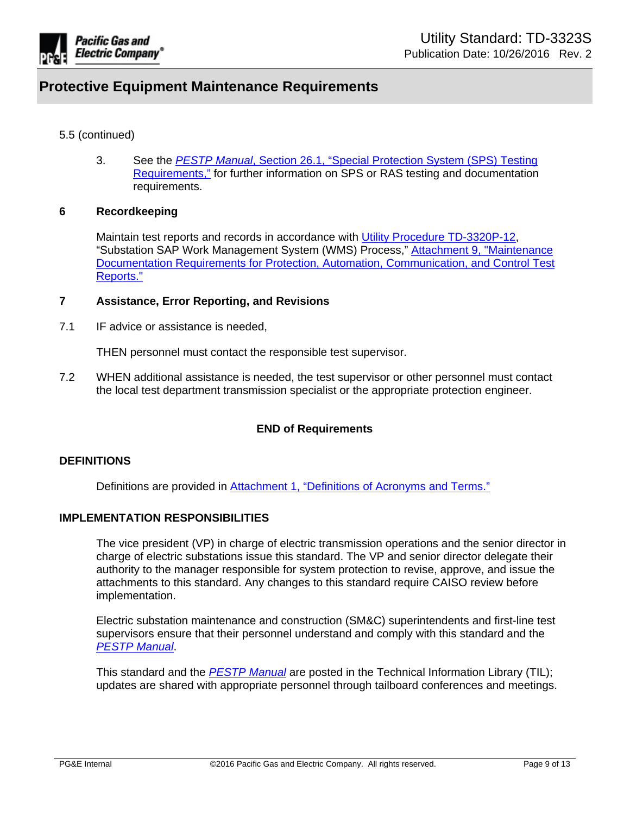

### 5.5 (continued)

3. See the *PESTP Manual*, Section 26.1, "Special [Protection](http://wwwedm3/cgi-bin/getdocTDM.asp?itemid=005484878) System (SPS) Testing [Requirements,"](http://wwwedm3/cgi-bin/getdocTDM.asp?itemid=005484878) for further information on SPS or RAS testing and documentation requirements.

### <span id="page-8-0"></span>**6 Recordkeeping**

Maintain test reports and records in accordance with Utility Procedure [TD-3320P-12](https://edrm.comp.pge.com/D2/?docbase=pge_ecm&commandEvent=D2_ACTION_CONTENT_VIEW&locateDql=pge_document(all)%20where%20i_chronicle_id%20=), "Substation SAP Work Management System (WMS) Process," Attachment 9, ["Maintenance](http://wwwedm3/cgi-bin/getdocTDM.asp?itemid=005466924) Documentation Requirements for Protection, Automation, [Communication,](http://wwwedm3/cgi-bin/getdocTDM.asp?itemid=005466924) and Control Test [Reports."](http://wwwedm3/cgi-bin/getdocTDM.asp?itemid=005466924)

### <span id="page-8-1"></span>**7 Assistance, Error Reporting, and Revisions**

7.1 IF advice or assistance is needed,

THEN personnel must contact the responsible test supervisor.

7.2 WHEN additional assistance is needed, the test supervisor or other personnel must contact the local test department transmission specialist or the appropriate protection engineer.

### **END of Requirements**

### **DEFINITIONS**

Definitions are provided in [Attachment](http://wwwedm3/cgi-bin/getdocTDM.asp?itemid=005479992) 1, "Definitions of Acronyms and Terms."

### **IMPLEMENTATION RESPONSIBILITIES**

The vice president (VP) in charge of electric transmission operations and the senior director in charge of electric substations issue this standard. The VP and senior director delegate their authority to the manager responsible for system protection to revise, approve, and issue the attachments to this standard. Any changes to this standard require CAISO review before implementation.

Electric substation maintenance and construction (SM&C) superintendents and first-line test supervisors ensure that their personnel understand and comply with this standard and the *PESTP [Manual](http://www/techlib/default.asp?body=manuals/pestp/)*.

This standard and the *[PESTP](http://www/techlib/default.asp?body=manuals/pestp/) Manual* are posted in the Technical Information Library (TIL); updates are shared with appropriate personnel through tailboard conferences and meetings.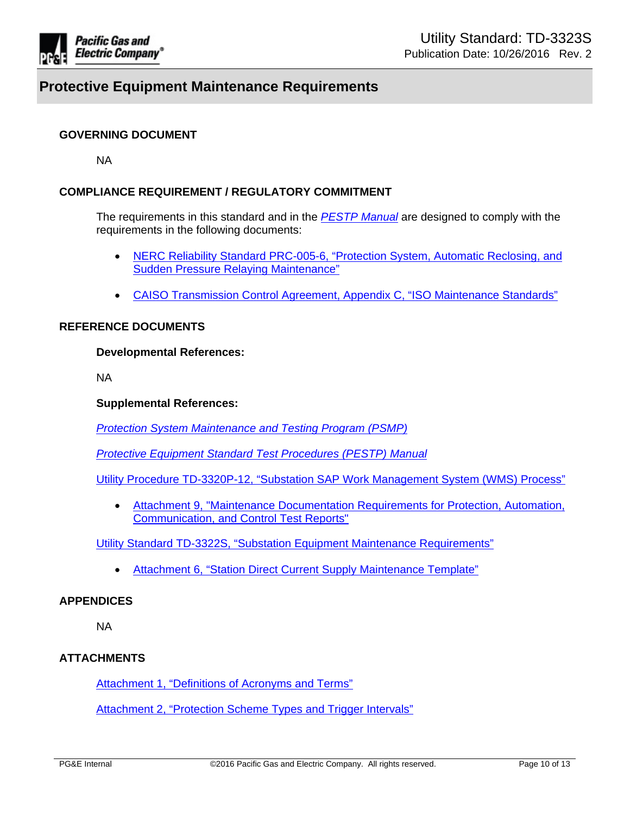

### **GOVERNING DOCUMENT**

NA

### **COMPLIANCE REQUIREMENT / REGULATORY COMMITMENT**

The requirements in this standard and in the *PESTP [Manual](http://www/techlib/default.asp?body=manuals/pestp/)* are designed to comply with the requirements in the following documents:

- NERC Reliability Standard [PRC-005-6,](http://www.nerc.com/_layouts/PrintStandard.aspx?standardnumber=PRC-005-6&title=Protection%20System,%20Automatic%20Reclosing,%20and%20Sudden%20Pressure%20Relaying&jurisdiction=United%20States) "Protection System, Automatic Reclosing, and Sudden Pressure Relaying [Maintenance"](http://www.nerc.com/_layouts/PrintStandard.aspx?standardnumber=PRC-005-6&title=Protection%20System,%20Automatic%20Reclosing,%20and%20Sudden%20Pressure%20Relaying&jurisdiction=United%20States)
- CAISO [Transmission](http://www.caiso.com/Documents/TransmissionControlAgreement.pdf) Control Agreement, Appendix C, "ISO Maintenance Standards"

#### **REFERENCE DOCUMENTS**

#### **Developmental References:**

NA

### **Supplemental References:**

*Protection System [Maintenance](https://sps.utility.pge.com/sites/EOsub/test/Shared%20Documents/Forms/AllItems.aspx?RootFolder=%2Fsites%2FEOsub%2Ftest%2FShared%20Documents%2FPSMP%20Documents&FolderCTID=0x012000E164C9FAA3AD3446979138DA70EBFE8A&View=%7BE84DD2A8%2D9E59%2D496F%2D8D6A%2D281DE5E860EC%7D) and Testing Program (PSMP)*

*Protective Equipment Standard Test [Procedures](http://www/techlib/default.asp?body=manuals/pestp/) (PESTP) Manual*

Utility Procedure [TD-3320P-12,](https://edrm.comp.pge.com/D2/?docbase=pge_ecm&commandEvent=D2_ACTION_CONTENT_VIEW&locateDql=pge_document(all)%20where%20i_chronicle_id%20=) "Substation SAP Work Management System (WMS) Process"

 Attachment 9, "Maintenance [Documentation](http://wwwedm3/cgi-bin/getdocTDM.asp?itemid=005466924) Requirements for Protection, Automation, [Communication,](http://wwwedm3/cgi-bin/getdocTDM.asp?itemid=005466924) and Control Test Reports"

Utility Standard TD-3322S, "Substation Equipment Maintenance [Requirements"](http://www/techlib/default.asp?body=manuals/uo_standards/s3322.htm)

Attachment 6, "Station Direct Current Supply [Maintenance](http://wwwedm3/cgi-bin/getdocTDM.asp?itemid=004733144) Template"

#### **APPENDICES**

NA

### **ATTACHMENTS**

[Attachment](http://wwwedm3/cgi-bin/getdocTDM.asp?itemid=005479992) 1, "Definitions of Acronyms and Terms"

[Attachment](http://wwwedm3/cgi-bin/getdocTDM.asp?itemid=005479993) 2, "Protection Scheme Types and Trigger Intervals"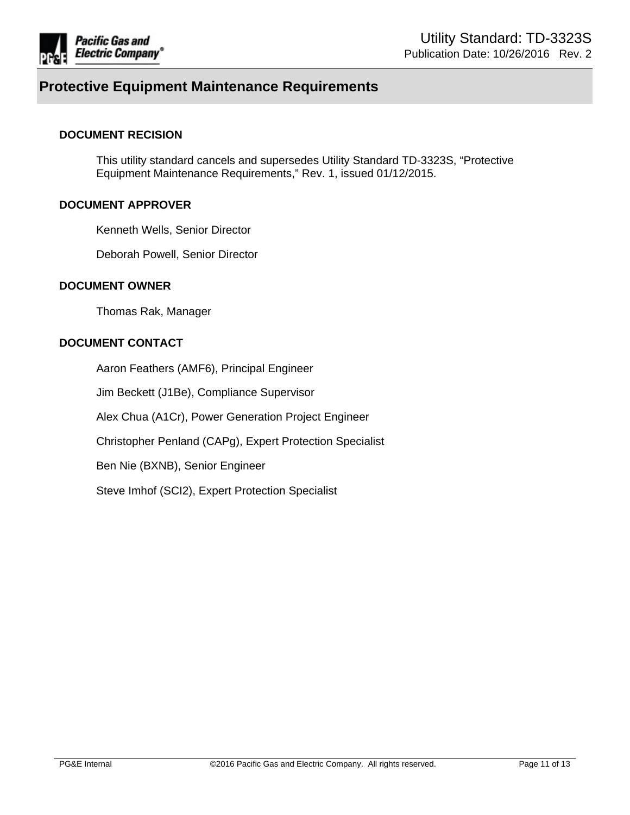

#### **DOCUMENT RECISION**

This utility standard cancels and supersedes Utility Standard TD-3323S, "Protective Equipment Maintenance Requirements," Rev. 1, issued 01/12/2015.

#### **DOCUMENT APPROVER**

Kenneth Wells, Senior Director

Deborah Powell, Senior Director

#### **DOCUMENT OWNER**

Thomas Rak, Manager

### **DOCUMENT CONTACT**

Aaron Feathers (AMF6), Principal Engineer Jim Beckett (J1Be), Compliance Supervisor Alex Chua (A1Cr), Power Generation Project Engineer Christopher Penland (CAPg), Expert Protection Specialist Ben Nie (BXNB), Senior Engineer Steve Imhof (SCI2), Expert Protection Specialist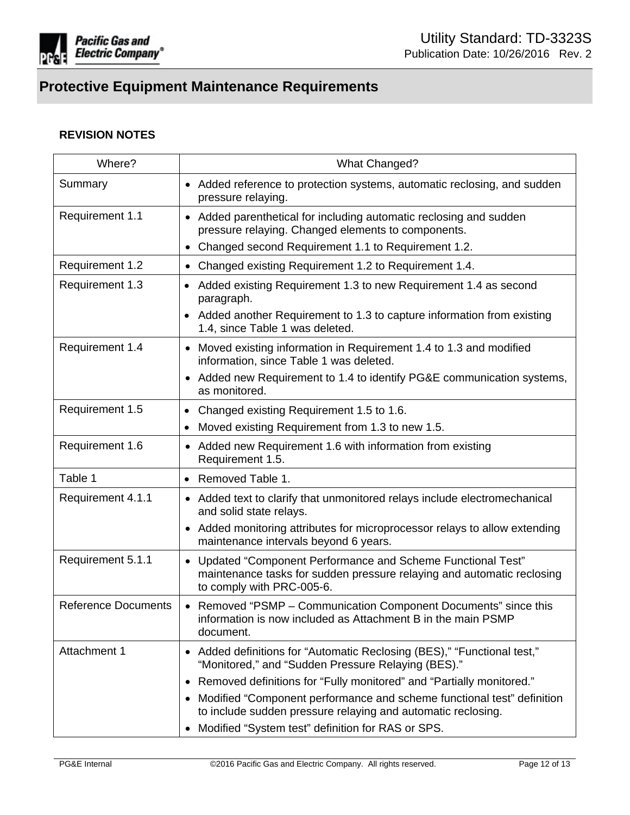

## **REVISION NOTES**

| Where?                     | What Changed?                                                                                                                                                                                          |
|----------------------------|--------------------------------------------------------------------------------------------------------------------------------------------------------------------------------------------------------|
| Summary                    | • Added reference to protection systems, automatic reclosing, and sudden<br>pressure relaying.                                                                                                         |
| Requirement 1.1            | • Added parenthetical for including automatic reclosing and sudden<br>pressure relaying. Changed elements to components.<br>Changed second Requirement 1.1 to Requirement 1.2.                         |
| Requirement 1.2            | Changed existing Requirement 1.2 to Requirement 1.4.<br>$\bullet$                                                                                                                                      |
| Requirement 1.3            | Added existing Requirement 1.3 to new Requirement 1.4 as second<br>$\bullet$<br>paragraph.<br>Added another Requirement to 1.3 to capture information from existing<br>1.4, since Table 1 was deleted. |
| Requirement 1.4            | Moved existing information in Requirement 1.4 to 1.3 and modified<br>$\bullet$<br>information, since Table 1 was deleted.<br>• Added new Requirement to 1.4 to identify PG&E communication systems,    |
|                            | as monitored.                                                                                                                                                                                          |
| Requirement 1.5            | Changed existing Requirement 1.5 to 1.6.<br>$\bullet$                                                                                                                                                  |
| Requirement 1.6            | Moved existing Requirement from 1.3 to new 1.5.<br>Added new Requirement 1.6 with information from existing<br>$\bullet$<br>Requirement 1.5.                                                           |
| Table 1                    | • Removed Table 1.                                                                                                                                                                                     |
| Requirement 4.1.1          | • Added text to clarify that unmonitored relays include electromechanical<br>and solid state relays.                                                                                                   |
|                            | Added monitoring attributes for microprocessor relays to allow extending<br>$\bullet$<br>maintenance intervals beyond 6 years.                                                                         |
| Requirement 5.1.1          | • Updated "Component Performance and Scheme Functional Test"<br>maintenance tasks for sudden pressure relaying and automatic reclosing<br>to comply with PRC-005-6.                                    |
| <b>Reference Documents</b> | • Removed "PSMP - Communication Component Documents" since this<br>information is now included as Attachment B in the main PSMP<br>document.                                                           |
| Attachment 1               | • Added definitions for "Automatic Reclosing (BES)," "Functional test,"<br>"Monitored," and "Sudden Pressure Relaying (BES)."                                                                          |
|                            | Removed definitions for "Fully monitored" and "Partially monitored."                                                                                                                                   |
|                            | Modified "Component performance and scheme functional test" definition<br>to include sudden pressure relaying and automatic reclosing.                                                                 |
|                            | Modified "System test" definition for RAS or SPS.                                                                                                                                                      |